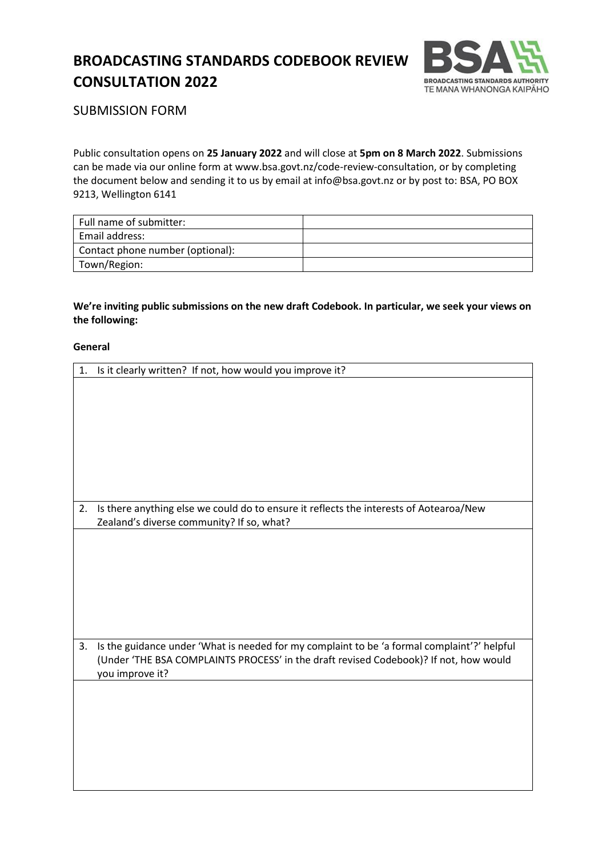# **BROADCASTING STANDARDS CODEBOOK REVIEW CONSULTATION 2022**



SUBMISSION FORM

Public consultation opens on **25 January 2022** and will close at **5pm on 8 March 2022**. Submissions can be made via our online form at www.bsa.govt.nz/code-review-consultation, or by completing the document below and sending it to us by email at info@bsa.govt.nz or by post to: BSA, PO BOX 9213, Wellington 6141

| Full name of submitter:          |  |
|----------------------------------|--|
| Email address:                   |  |
| Contact phone number (optional): |  |
| Town/Region:                     |  |

### **We're inviting public submissions on the new draft Codebook. In particular, we seek your views on the following:**

#### **General**

| 1. | Is it clearly written? If not, how would you improve it?                                                                            |
|----|-------------------------------------------------------------------------------------------------------------------------------------|
|    |                                                                                                                                     |
|    |                                                                                                                                     |
|    |                                                                                                                                     |
|    |                                                                                                                                     |
|    |                                                                                                                                     |
|    |                                                                                                                                     |
|    |                                                                                                                                     |
|    |                                                                                                                                     |
| 2. | Is there anything else we could do to ensure it reflects the interests of Aotearoa/New<br>Zealand's diverse community? If so, what? |
|    |                                                                                                                                     |
|    |                                                                                                                                     |
|    |                                                                                                                                     |
|    |                                                                                                                                     |
|    |                                                                                                                                     |
|    |                                                                                                                                     |
|    |                                                                                                                                     |
| 3. | Is the guidance under 'What is needed for my complaint to be 'a formal complaint'?' helpful                                         |
|    | (Under 'THE BSA COMPLAINTS PROCESS' in the draft revised Codebook)? If not, how would                                               |
|    | you improve it?                                                                                                                     |
|    |                                                                                                                                     |
|    |                                                                                                                                     |
|    |                                                                                                                                     |
|    |                                                                                                                                     |
|    |                                                                                                                                     |
|    |                                                                                                                                     |
|    |                                                                                                                                     |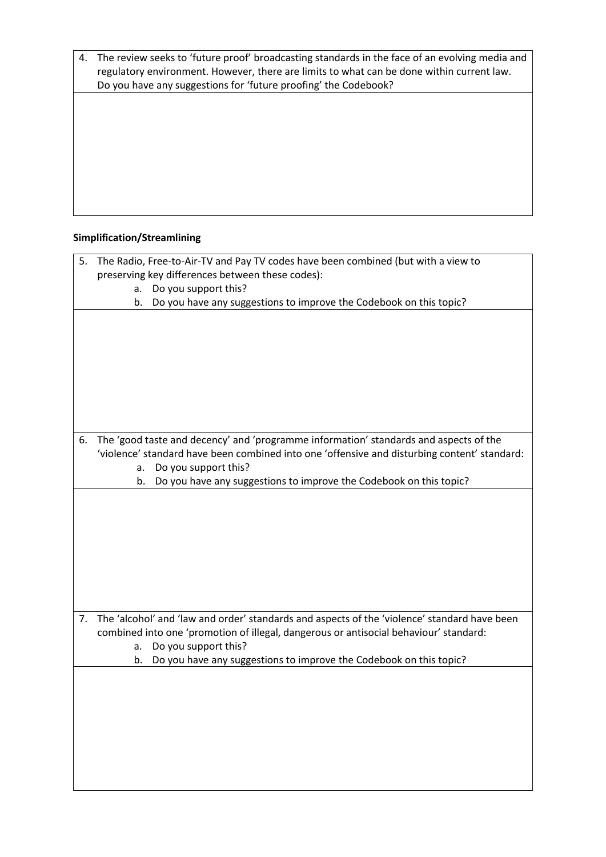| 4. The review seeks to 'future proof' broadcasting standards in the face of an evolving media and |
|---------------------------------------------------------------------------------------------------|
| regulatory environment. However, there are limits to what can be done within current law.         |
| Do you have any suggestions for 'future proofing' the Codebook?                                   |

# **Simplification/Streamlining**

| 5. | The Radio, Free-to-Air-TV and Pay TV codes have been combined (but with a view to            |
|----|----------------------------------------------------------------------------------------------|
|    | preserving key differences between these codes):                                             |
|    | Do you support this?                                                                         |
|    | a.                                                                                           |
|    | Do you have any suggestions to improve the Codebook on this topic?<br>b.                     |
|    |                                                                                              |
|    |                                                                                              |
|    |                                                                                              |
|    |                                                                                              |
|    |                                                                                              |
|    |                                                                                              |
|    |                                                                                              |
|    |                                                                                              |
|    |                                                                                              |
|    |                                                                                              |
|    |                                                                                              |
|    |                                                                                              |
| 6. | The 'good taste and decency' and 'programme information' standards and aspects of the        |
|    | 'violence' standard have been combined into one 'offensive and disturbing content' standard: |
|    | Do you support this?<br>а.                                                                   |
|    | Do you have any suggestions to improve the Codebook on this topic?<br>b.                     |
|    |                                                                                              |
|    |                                                                                              |
|    |                                                                                              |
|    |                                                                                              |
|    |                                                                                              |
|    |                                                                                              |
|    |                                                                                              |
|    |                                                                                              |
|    |                                                                                              |
|    |                                                                                              |
|    |                                                                                              |
|    |                                                                                              |
| 7. | The 'alcohol' and 'law and order' standards and aspects of the 'violence' standard have been |
|    | combined into one 'promotion of illegal, dangerous or antisocial behaviour' standard:        |
|    |                                                                                              |
|    | Do you support this?<br>a.                                                                   |
|    | Do you have any suggestions to improve the Codebook on this topic?<br>b.                     |
|    |                                                                                              |
|    |                                                                                              |
|    |                                                                                              |
|    |                                                                                              |
|    |                                                                                              |
|    |                                                                                              |
|    |                                                                                              |
|    |                                                                                              |
|    |                                                                                              |
|    |                                                                                              |
|    |                                                                                              |
|    |                                                                                              |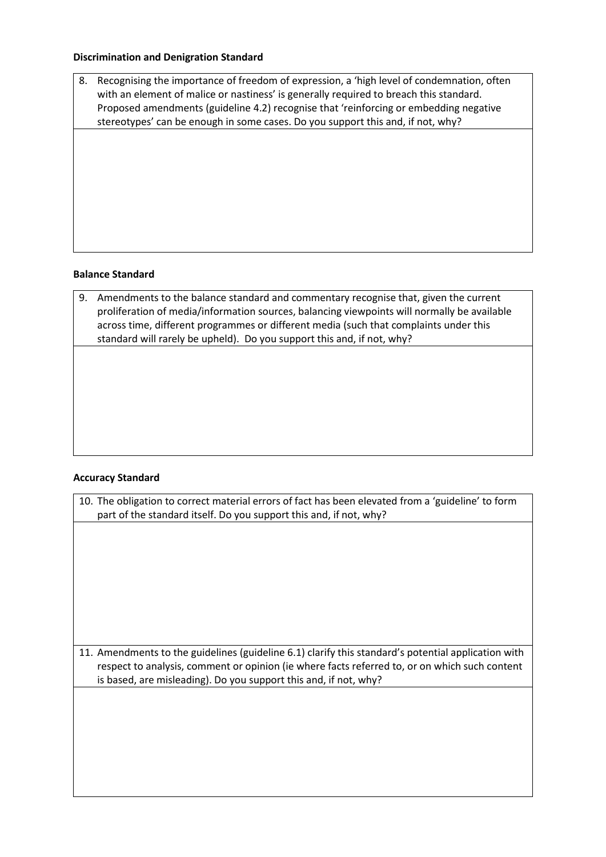# **Discrimination and Denigration Standard**

| 8. Recognising the importance of freedom of expression, a 'high level of condemnation, often |
|----------------------------------------------------------------------------------------------|
| with an element of malice or nastiness' is generally required to breach this standard.       |
| Proposed amendments (guideline 4.2) recognise that 'reinforcing or embedding negative        |
| stereotypes' can be enough in some cases. Do you support this and, if not, why?              |

### **Balance Standard**

| 9. Amendments to the balance standard and commentary recognise that, given the current      |
|---------------------------------------------------------------------------------------------|
| proliferation of media/information sources, balancing viewpoints will normally be available |
| across time, different programmes or different media (such that complaints under this       |
| standard will rarely be upheld). Do you support this and, if not, why?                      |

### **Accuracy Standard**

| 10. The obligation to correct material errors of fact has been elevated from a 'guideline' to form  |
|-----------------------------------------------------------------------------------------------------|
|                                                                                                     |
| part of the standard itself. Do you support this and, if not, why?                                  |
|                                                                                                     |
|                                                                                                     |
|                                                                                                     |
|                                                                                                     |
|                                                                                                     |
|                                                                                                     |
|                                                                                                     |
|                                                                                                     |
|                                                                                                     |
|                                                                                                     |
|                                                                                                     |
|                                                                                                     |
|                                                                                                     |
|                                                                                                     |
| 11. Amendments to the guidelines (guideline 6.1) clarify this standard's potential application with |
|                                                                                                     |
| respect to analysis, comment or opinion (ie where facts referred to, or on which such content       |
| is based, are misleading). Do you support this and, if not, why?                                    |
|                                                                                                     |
|                                                                                                     |
|                                                                                                     |
|                                                                                                     |
|                                                                                                     |
|                                                                                                     |
|                                                                                                     |
|                                                                                                     |
|                                                                                                     |
|                                                                                                     |
|                                                                                                     |
|                                                                                                     |
|                                                                                                     |